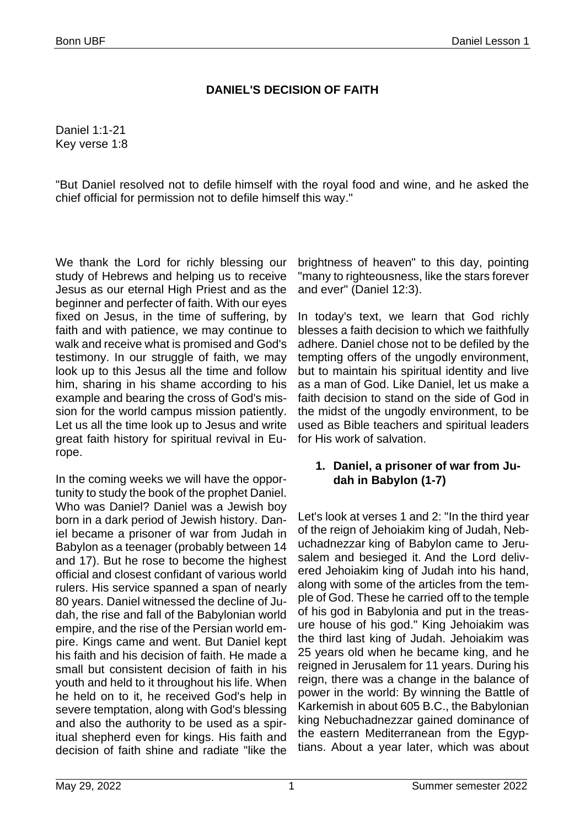## **DANIEL'S DECISION OF FAITH**

Daniel 1:1-21 Key verse 1:8

"But Daniel resolved not to defile himself with the royal food and wine, and he asked the chief official for permission not to defile himself this way."

We thank the Lord for richly blessing our study of Hebrews and helping us to receive Jesus as our eternal High Priest and as the beginner and perfecter of faith. With our eyes fixed on Jesus, in the time of suffering, by faith and with patience, we may continue to walk and receive what is promised and God's testimony. In our struggle of faith, we may look up to this Jesus all the time and follow him, sharing in his shame according to his example and bearing the cross of God's mission for the world campus mission patiently. Let us all the time look up to Jesus and write great faith history for spiritual revival in Europe.

In the coming weeks we will have the opportunity to study the book of the prophet Daniel. Who was Daniel? Daniel was a Jewish boy born in a dark period of Jewish history. Daniel became a prisoner of war from Judah in Babylon as a teenager (probably between 14 and 17). But he rose to become the highest official and closest confidant of various world rulers. His service spanned a span of nearly 80 years. Daniel witnessed the decline of Judah, the rise and fall of the Babylonian world empire, and the rise of the Persian world empire. Kings came and went. But Daniel kept his faith and his decision of faith. He made a small but consistent decision of faith in his youth and held to it throughout his life. When he held on to it, he received God's help in severe temptation, along with God's blessing and also the authority to be used as a spiritual shepherd even for kings. His faith and decision of faith shine and radiate "like the

brightness of heaven" to this day, pointing "many to righteousness, like the stars forever and ever" (Daniel 12:3).

In today's text, we learn that God richly blesses a faith decision to which we faithfully adhere. Daniel chose not to be defiled by the tempting offers of the ungodly environment, but to maintain his spiritual identity and live as a man of God. Like Daniel, let us make a faith decision to stand on the side of God in the midst of the ungodly environment, to be used as Bible teachers and spiritual leaders for His work of salvation.

## **1. Daniel, a prisoner of war from Judah in Babylon (1-7)**

Let's look at verses 1 and 2: "In the third year of the reign of Jehoiakim king of Judah, Nebuchadnezzar king of Babylon came to Jerusalem and besieged it. And the Lord delivered Jehoiakim king of Judah into his hand, along with some of the articles from the temple of God. These he carried off to the temple of his god in Babylonia and put in the treasure house of his god." King Jehoiakim was the third last king of Judah. Jehoiakim was 25 years old when he became king, and he reigned in Jerusalem for 11 years. During his reign, there was a change in the balance of power in the world: By winning the Battle of Karkemish in about 605 B.C., the Babylonian king Nebuchadnezzar gained dominance of the eastern Mediterranean from the Egyptians. About a year later, which was about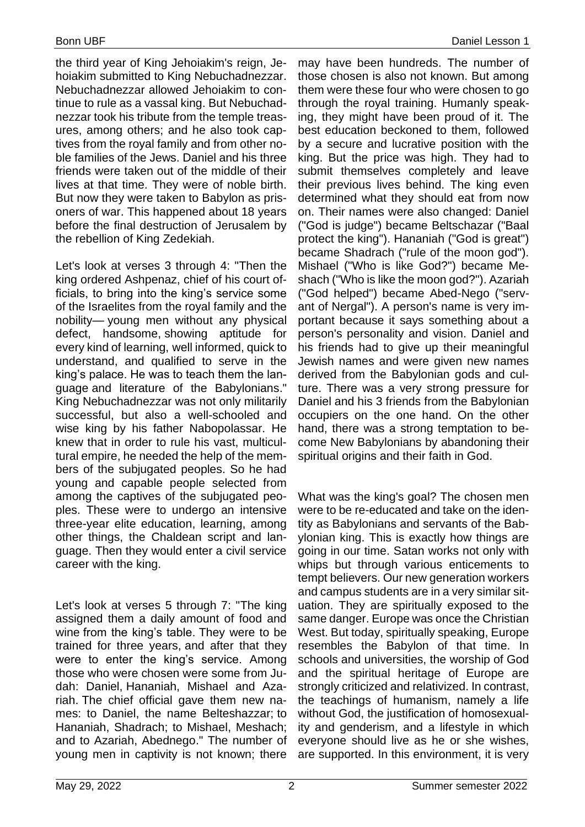the third year of King Jehoiakim's reign, Jehoiakim submitted to King Nebuchadnezzar. Nebuchadnezzar allowed Jehoiakim to continue to rule as a vassal king. But Nebuchadnezzar took his tribute from the temple treasures, among others; and he also took captives from the royal family and from other noble families of the Jews. Daniel and his three friends were taken out of the middle of their lives at that time. They were of noble birth. But now they were taken to Babylon as prisoners of war. This happened about 18 years before the final destruction of Jerusalem by the rebellion of King Zedekiah.

Let's look at verses 3 through 4: "Then the king ordered Ashpenaz, chief of his court officials, to bring into the king's service some of the Israelites from the royal family and the nobility— young men without any physical defect, handsome, showing aptitude for every kind of learning, well informed, quick to understand, and qualified to serve in the king's palace. He was to teach them the language and literature of the Babylonians." King Nebuchadnezzar was not only militarily successful, but also a well-schooled and wise king by his father Nabopolassar. He knew that in order to rule his vast, multicultural empire, he needed the help of the members of the subjugated peoples. So he had young and capable people selected from among the captives of the subjugated peoples. These were to undergo an intensive three-year elite education, learning, among other things, the Chaldean script and language. Then they would enter a civil service career with the king.

Let's look at verses 5 through 7: "The king assigned them a daily amount of food and wine from the king's table. They were to be trained for three years, and after that they were to enter the king's service. Among those who were chosen were some from Judah: Daniel, Hananiah, Mishael and Azariah. The chief official gave them new names: to Daniel, the name Belteshazzar; to Hananiah, Shadrach; to Mishael, Meshach; and to Azariah, Abednego." The number of young men in captivity is not known; there

may have been hundreds. The number of those chosen is also not known. But among them were these four who were chosen to go through the royal training. Humanly speaking, they might have been proud of it. The best education beckoned to them, followed by a secure and lucrative position with the king. But the price was high. They had to submit themselves completely and leave their previous lives behind. The king even determined what they should eat from now on. Their names were also changed: Daniel ("God is judge") became Beltschazar ("Baal protect the king"). Hananiah ("God is great") became Shadrach ("rule of the moon god"). Mishael ("Who is like God?") became Meshach ("Who is like the moon god?"). Azariah ("God helped") became Abed-Nego ("servant of Nergal"). A person's name is very important because it says something about a person's personality and vision. Daniel and his friends had to give up their meaningful Jewish names and were given new names derived from the Babylonian gods and culture. There was a very strong pressure for Daniel and his 3 friends from the Babylonian occupiers on the one hand. On the other hand, there was a strong temptation to become New Babylonians by abandoning their spiritual origins and their faith in God.

What was the king's goal? The chosen men were to be re-educated and take on the identity as Babylonians and servants of the Babylonian king. This is exactly how things are going in our time. Satan works not only with whips but through various enticements to tempt believers. Our new generation workers and campus students are in a very similar situation. They are spiritually exposed to the same danger. Europe was once the Christian West. But today, spiritually speaking, Europe resembles the Babylon of that time. In schools and universities, the worship of God and the spiritual heritage of Europe are strongly criticized and relativized. In contrast, the teachings of humanism, namely a life without God, the justification of homosexuality and genderism, and a lifestyle in which everyone should live as he or she wishes, are supported. In this environment, it is very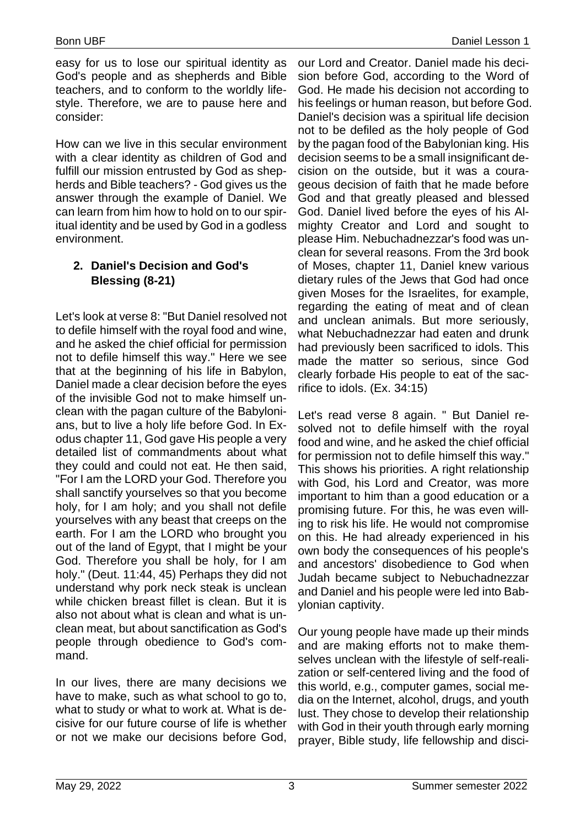easy for us to lose our spiritual identity as God's people and as shepherds and Bible teachers, and to conform to the worldly lifestyle. Therefore, we are to pause here and consider:

How can we live in this secular environment with a clear identity as children of God and fulfill our mission entrusted by God as shepherds and Bible teachers? - God gives us the answer through the example of Daniel. We can learn from him how to hold on to our spiritual identity and be used by God in a godless environment.

## **2. Daniel's Decision and God's Blessing (8-21)**

Let's look at verse 8: "But Daniel resolved not to defile himself with the royal food and wine, and he asked the chief official for permission not to defile himself this way." Here we see that at the beginning of his life in Babylon, Daniel made a clear decision before the eyes of the invisible God not to make himself unclean with the pagan culture of the Babylonians, but to live a holy life before God. In Exodus chapter 11, God gave His people a very detailed list of commandments about what they could and could not eat. He then said, "For I am the LORD your God. Therefore you shall sanctify yourselves so that you become holy, for I am holy; and you shall not defile yourselves with any beast that creeps on the earth. For I am the LORD who brought you out of the land of Egypt, that I might be your God. Therefore you shall be holy, for I am holy." (Deut. 11:44, 45) Perhaps they did not understand why pork neck steak is unclean while chicken breast fillet is clean. But it is also not about what is clean and what is unclean meat, but about sanctification as God's people through obedience to God's command.

In our lives, there are many decisions we have to make, such as what school to go to, what to study or what to work at. What is decisive for our future course of life is whether or not we make our decisions before God,

our Lord and Creator. Daniel made his decision before God, according to the Word of God. He made his decision not according to his feelings or human reason, but before God. Daniel's decision was a spiritual life decision not to be defiled as the holy people of God by the pagan food of the Babylonian king. His decision seems to be a small insignificant decision on the outside, but it was a courageous decision of faith that he made before God and that greatly pleased and blessed God. Daniel lived before the eyes of his Almighty Creator and Lord and sought to please Him. Nebuchadnezzar's food was unclean for several reasons. From the 3rd book of Moses, chapter 11, Daniel knew various dietary rules of the Jews that God had once given Moses for the Israelites, for example, regarding the eating of meat and of clean and unclean animals. But more seriously, what Nebuchadnezzar had eaten and drunk had previously been sacrificed to idols. This made the matter so serious, since God clearly forbade His people to eat of the sacrifice to idols. (Ex. 34:15)

Let's read verse 8 again. " But Daniel resolved not to defile himself with the royal food and wine, and he asked the chief official for permission not to defile himself this way." This shows his priorities. A right relationship with God, his Lord and Creator, was more important to him than a good education or a promising future. For this, he was even willing to risk his life. He would not compromise on this. He had already experienced in his own body the consequences of his people's and ancestors' disobedience to God when Judah became subject to Nebuchadnezzar and Daniel and his people were led into Babylonian captivity.

Our young people have made up their minds and are making efforts not to make themselves unclean with the lifestyle of self-realization or self-centered living and the food of this world, e.g., computer games, social media on the Internet, alcohol, drugs, and youth lust. They chose to develop their relationship with God in their youth through early morning prayer, Bible study, life fellowship and disci-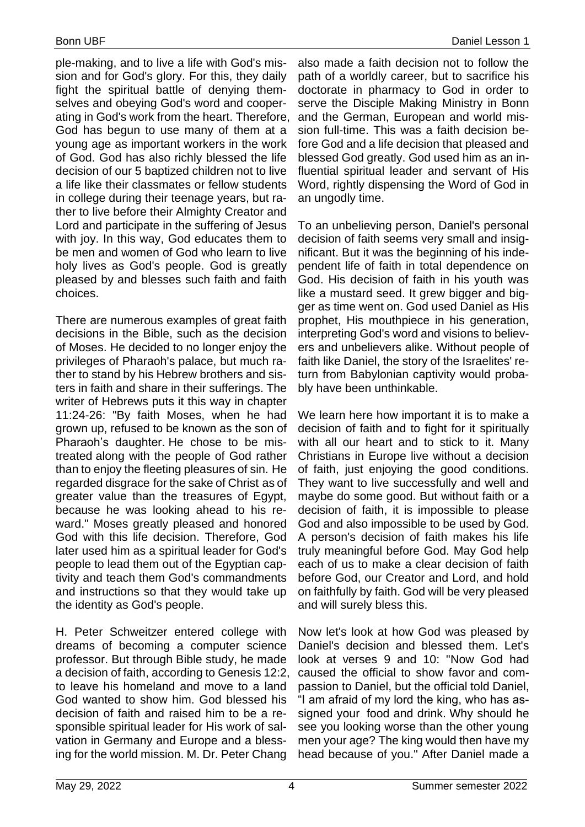ple-making, and to live a life with God's mission and for God's glory. For this, they daily fight the spiritual battle of denying themselves and obeying God's word and cooperating in God's work from the heart. Therefore, God has begun to use many of them at a young age as important workers in the work of God. God has also richly blessed the life decision of our 5 baptized children not to live a life like their classmates or fellow students in college during their teenage years, but rather to live before their Almighty Creator and Lord and participate in the suffering of Jesus with joy. In this way, God educates them to be men and women of God who learn to live holy lives as God's people. God is greatly pleased by and blesses such faith and faith choices.

There are numerous examples of great faith decisions in the Bible, such as the decision of Moses. He decided to no longer enjoy the privileges of Pharaoh's palace, but much rather to stand by his Hebrew brothers and sisters in faith and share in their sufferings. The writer of Hebrews puts it this way in chapter 11:24-26: "By faith Moses, when he had grown up, refused to be known as the son of Pharaoh's daughter. He chose to be mistreated along with the people of God rather than to enjoy the fleeting pleasures of sin. He regarded disgrace for the sake of Christ as of greater value than the treasures of Egypt, because he was looking ahead to his reward." Moses greatly pleased and honored God with this life decision. Therefore, God later used him as a spiritual leader for God's people to lead them out of the Egyptian captivity and teach them God's commandments and instructions so that they would take up the identity as God's people.

H. Peter Schweitzer entered college with dreams of becoming a computer science professor. But through Bible study, he made a decision of faith, according to Genesis 12:2, to leave his homeland and move to a land God wanted to show him. God blessed his decision of faith and raised him to be a responsible spiritual leader for His work of salvation in Germany and Europe and a blessing for the world mission. M. Dr. Peter Chang

also made a faith decision not to follow the path of a worldly career, but to sacrifice his doctorate in pharmacy to God in order to serve the Disciple Making Ministry in Bonn and the German, European and world mission full-time. This was a faith decision before God and a life decision that pleased and blessed God greatly. God used him as an influential spiritual leader and servant of His Word, rightly dispensing the Word of God in an ungodly time.

To an unbelieving person, Daniel's personal decision of faith seems very small and insignificant. But it was the beginning of his independent life of faith in total dependence on God. His decision of faith in his youth was like a mustard seed. It grew bigger and bigger as time went on. God used Daniel as His prophet, His mouthpiece in his generation, interpreting God's word and visions to believers and unbelievers alike. Without people of faith like Daniel, the story of the Israelites' return from Babylonian captivity would probably have been unthinkable.

We learn here how important it is to make a decision of faith and to fight for it spiritually with all our heart and to stick to it. Many Christians in Europe live without a decision of faith, just enjoying the good conditions. They want to live successfully and well and maybe do some good. But without faith or a decision of faith, it is impossible to please God and also impossible to be used by God. A person's decision of faith makes his life truly meaningful before God. May God help each of us to make a clear decision of faith before God, our Creator and Lord, and hold on faithfully by faith. God will be very pleased and will surely bless this.

Now let's look at how God was pleased by Daniel's decision and blessed them. Let's look at verses 9 and 10: "Now God had caused the official to show favor and compassion to Daniel, but the official told Daniel, "I am afraid of my lord the king, who has assigned your food and drink. Why should he see you looking worse than the other young men your age? The king would then have my head because of you." After Daniel made a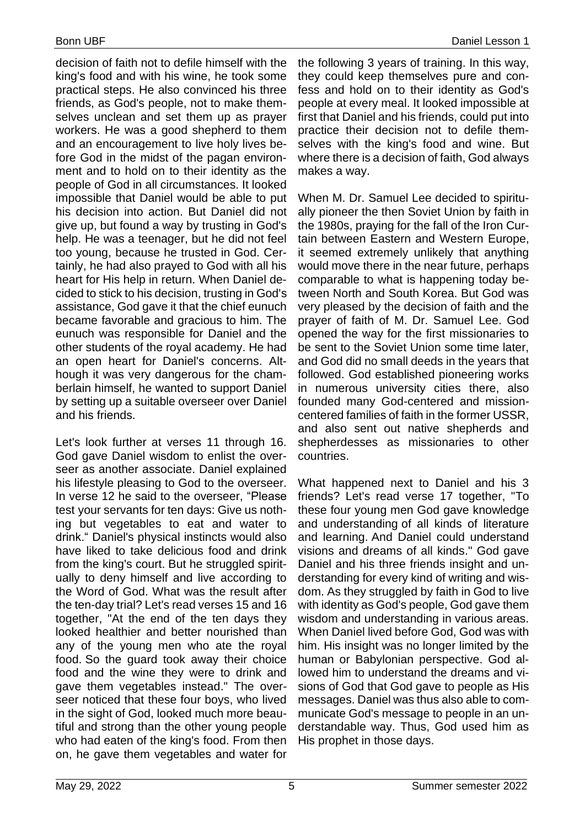decision of faith not to defile himself with the king's food and with his wine, he took some practical steps. He also convinced his three friends, as God's people, not to make themselves unclean and set them up as prayer workers. He was a good shepherd to them and an encouragement to live holy lives before God in the midst of the pagan environment and to hold on to their identity as the people of God in all circumstances. It looked impossible that Daniel would be able to put his decision into action. But Daniel did not give up, but found a way by trusting in God's help. He was a teenager, but he did not feel too young, because he trusted in God. Certainly, he had also prayed to God with all his heart for His help in return. When Daniel decided to stick to his decision, trusting in God's assistance, God gave it that the chief eunuch became favorable and gracious to him. The eunuch was responsible for Daniel and the other students of the royal academy. He had an open heart for Daniel's concerns. Although it was very dangerous for the chamberlain himself, he wanted to support Daniel by setting up a suitable overseer over Daniel and his friends.

Let's look further at verses 11 through 16. God gave Daniel wisdom to enlist the overseer as another associate. Daniel explained his lifestyle pleasing to God to the overseer. In verse 12 he said to the overseer, "Please test your servants for ten days: Give us nothing but vegetables to eat and water to drink." Daniel's physical instincts would also have liked to take delicious food and drink from the king's court. But he struggled spiritually to deny himself and live according to the Word of God. What was the result after the ten-day trial? Let's read verses 15 and 16 together, "At the end of the ten days they looked healthier and better nourished than any of the young men who ate the royal food. So the guard took away their choice food and the wine they were to drink and gave them vegetables instead." The overseer noticed that these four boys, who lived in the sight of God, looked much more beautiful and strong than the other young people who had eaten of the king's food. From then on, he gave them vegetables and water for

the following 3 years of training. In this way, they could keep themselves pure and confess and hold on to their identity as God's people at every meal. It looked impossible at first that Daniel and his friends, could put into practice their decision not to defile themselves with the king's food and wine. But where there is a decision of faith, God always makes a way.

When M. Dr. Samuel Lee decided to spiritually pioneer the then Soviet Union by faith in the 1980s, praying for the fall of the Iron Curtain between Eastern and Western Europe, it seemed extremely unlikely that anything would move there in the near future, perhaps comparable to what is happening today between North and South Korea. But God was very pleased by the decision of faith and the prayer of faith of M. Dr. Samuel Lee. God opened the way for the first missionaries to be sent to the Soviet Union some time later, and God did no small deeds in the years that followed. God established pioneering works in numerous university cities there, also founded many God-centered and missioncentered families of faith in the former USSR, and also sent out native shepherds and shepherdesses as missionaries to other countries.

What happened next to Daniel and his 3 friends? Let's read verse 17 together, "To these four young men God gave knowledge and understanding of all kinds of literature and learning. And Daniel could understand visions and dreams of all kinds." God gave Daniel and his three friends insight and understanding for every kind of writing and wisdom. As they struggled by faith in God to live with identity as God's people, God gave them wisdom and understanding in various areas. When Daniel lived before God, God was with him. His insight was no longer limited by the human or Babylonian perspective. God allowed him to understand the dreams and visions of God that God gave to people as His messages. Daniel was thus also able to communicate God's message to people in an understandable way. Thus, God used him as His prophet in those days.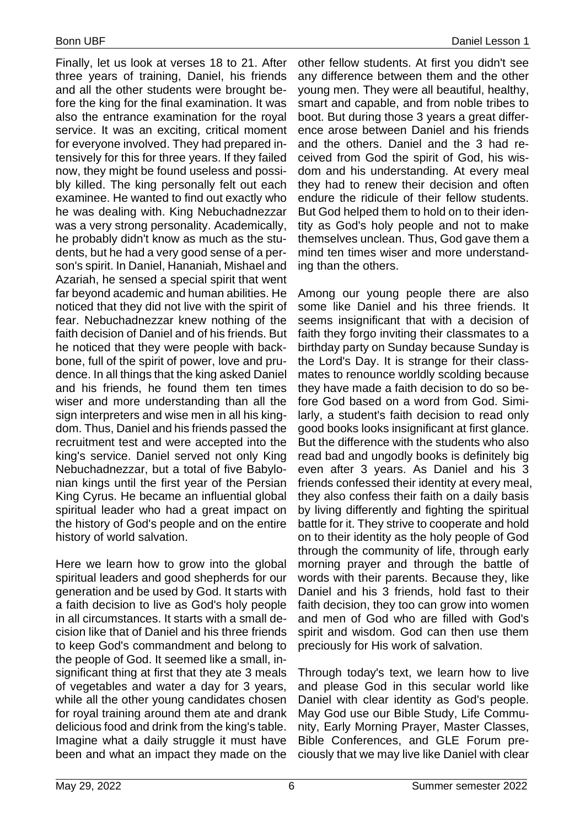Finally, let us look at verses 18 to 21. After three years of training, Daniel, his friends and all the other students were brought before the king for the final examination. It was also the entrance examination for the royal service. It was an exciting, critical moment for everyone involved. They had prepared intensively for this for three years. If they failed now, they might be found useless and possibly killed. The king personally felt out each examinee. He wanted to find out exactly who he was dealing with. King Nebuchadnezzar was a very strong personality. Academically, he probably didn't know as much as the students, but he had a very good sense of a person's spirit. In Daniel, Hananiah, Mishael and Azariah, he sensed a special spirit that went far beyond academic and human abilities. He noticed that they did not live with the spirit of fear. Nebuchadnezzar knew nothing of the faith decision of Daniel and of his friends. But he noticed that they were people with backbone, full of the spirit of power, love and prudence. In all things that the king asked Daniel and his friends, he found them ten times wiser and more understanding than all the sign interpreters and wise men in all his kingdom. Thus, Daniel and his friends passed the recruitment test and were accepted into the king's service. Daniel served not only King Nebuchadnezzar, but a total of five Babylonian kings until the first year of the Persian King Cyrus. He became an influential global spiritual leader who had a great impact on the history of God's people and on the entire history of world salvation.

Here we learn how to grow into the global spiritual leaders and good shepherds for our generation and be used by God. It starts with a faith decision to live as God's holy people in all circumstances. It starts with a small decision like that of Daniel and his three friends to keep God's commandment and belong to the people of God. It seemed like a small, insignificant thing at first that they ate 3 meals of vegetables and water a day for 3 years, while all the other young candidates chosen for royal training around them ate and drank delicious food and drink from the king's table. Imagine what a daily struggle it must have been and what an impact they made on the

other fellow students. At first you didn't see any difference between them and the other young men. They were all beautiful, healthy, smart and capable, and from noble tribes to boot. But during those 3 years a great difference arose between Daniel and his friends and the others. Daniel and the 3 had received from God the spirit of God, his wisdom and his understanding. At every meal they had to renew their decision and often endure the ridicule of their fellow students. But God helped them to hold on to their identity as God's holy people and not to make themselves unclean. Thus, God gave them a mind ten times wiser and more understanding than the others.

Among our young people there are also some like Daniel and his three friends. It seems insignificant that with a decision of faith they forgo inviting their classmates to a birthday party on Sunday because Sunday is the Lord's Day. It is strange for their classmates to renounce worldly scolding because they have made a faith decision to do so before God based on a word from God. Similarly, a student's faith decision to read only good books looks insignificant at first glance. But the difference with the students who also read bad and ungodly books is definitely big even after 3 years. As Daniel and his 3 friends confessed their identity at every meal, they also confess their faith on a daily basis by living differently and fighting the spiritual battle for it. They strive to cooperate and hold on to their identity as the holy people of God through the community of life, through early morning prayer and through the battle of words with their parents. Because they, like Daniel and his 3 friends, hold fast to their faith decision, they too can grow into women and men of God who are filled with God's spirit and wisdom. God can then use them preciously for His work of salvation.

Through today's text, we learn how to live and please God in this secular world like Daniel with clear identity as God's people. May God use our Bible Study, Life Community, Early Morning Prayer, Master Classes, Bible Conferences, and GLE Forum preciously that we may live like Daniel with clear